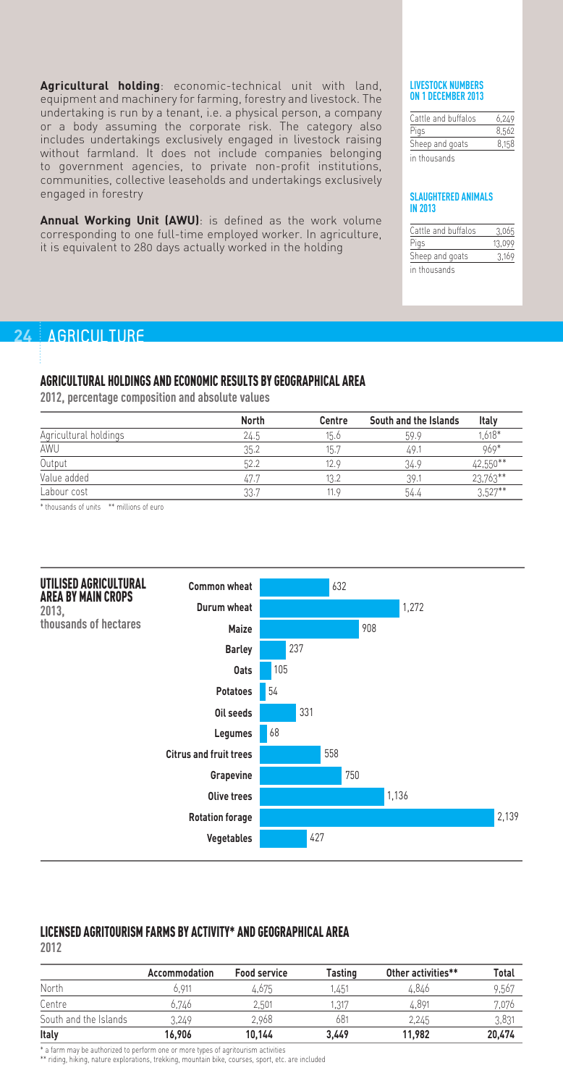**Agricultural holding**: economic-technical unit with land, equipment and machinery for farming, forestry and livestock. The undertaking is run by a tenant, i.e. a physical person, a company or a body assuming the corporate risk. The category also includes undertakings exclusively engaged in livestock raising without farmland. It does not include companies belonging to government agencies, to private non-profit institutions, communities, collective leaseholds and undertakings exclusively engaged in forestry

**Annual Working Unit (AWU)**: is defined as the work volume corresponding to one full-time employed worker. In agriculture, it is equivalent to 280 days actually worked in the holding

#### **LIVESTOCK NUMBERS ON 1 DECEMBER 2013**

| Cattle and buffalos | 6.249 |
|---------------------|-------|
| Pigs                | 8.562 |
| Sheep and goats     | 8.158 |
| in thousands        |       |

#### **SLAUGHTERED ANIMALS IN 2013**

| Cattle and buffalos | 3.065  |
|---------------------|--------|
| Pigs                | 13.099 |
| Sheep and goats     | 3.169  |
| in thousands        |        |

# **24 | AGRICULTURE**

### AGRICULTURAL HOLDINGS AND ECONOMIC RESULTS BY GEOGRAPHICAL AREA

**2012, percentage composition and absolute values** 

|                       | <b>North</b> | Centre | South and the Islands | Italy      |
|-----------------------|--------------|--------|-----------------------|------------|
| Agricultural holdings | 24.5         | 15.6   | 59.9                  | $.618*$    |
| AWU                   | 35.2         | 15.7   | 49.1                  | 969*       |
| Output                | 52.2         | 12.9   | 34.9                  | 42,550**   |
| Value added           | 47.7         | 13.2   | 39.1                  | 23,763**   |
| Labour cost           | 33.7         | 11.9   | 54.4                  | $3.527***$ |

\* thousands of units \*\* millions of euro



# LICENSED AGRITOURISM FARMS BY ACTIVITY\* AND GEOGRAPHICAL AREA

**2012**

|                       | Accommodation | <b>Food service</b> | Tasting | Other activities** | Total  |
|-----------------------|---------------|---------------------|---------|--------------------|--------|
| North                 | 6.911         | 4.675               | .451    | 4.846              | 9,567  |
| Centre                | 6.746         | 2.501               | 1,317   | 4.891              | 7.076  |
| South and the Islands | 3.249         | 2.968               | 681     | 2,245              | 3,831  |
| Italy                 | 16.906        | 10.144              | 3.449   | 11.982             | 20.474 |

\* a farm may be authorized to perform one or more types of agritourism activities

\*\* riding, hiking, nature explorations, trekking, mountain bike, courses, sport, etc. are included